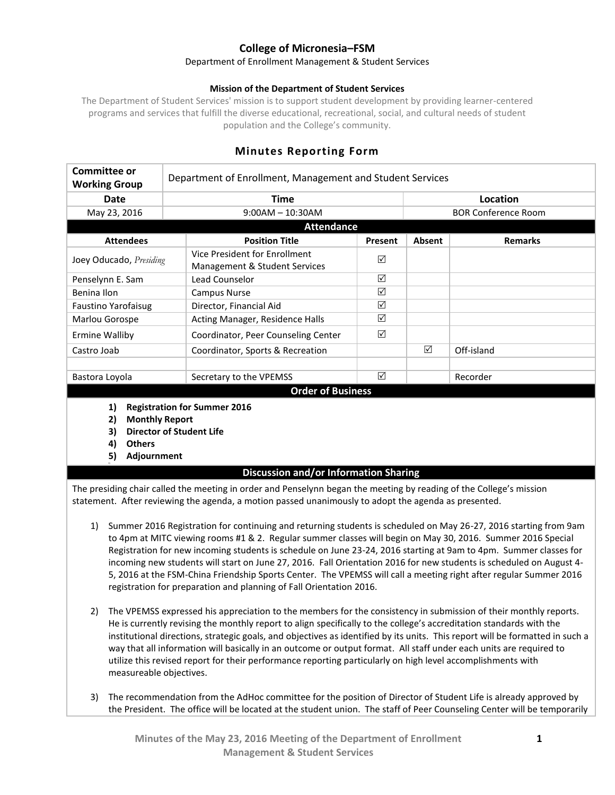# **College of Micronesia–FSM**

#### Department of Enrollment Management & Student Services

#### **Mission of the Department of Student Services**

The Department of Student Services' mission is to support student development by providing learner-centered programs and services that fulfill the diverse educational, recreational, social, and cultural needs of student population and the College's community.

| Committee or<br><b>Working Group</b> | Department of Enrollment, Management and Student Services      |         |                            |                |  |
|--------------------------------------|----------------------------------------------------------------|---------|----------------------------|----------------|--|
| Date                                 | <b>Time</b>                                                    |         | Location                   |                |  |
| May 23, 2016                         | $9:00AM - 10:30AM$                                             |         | <b>BOR Conference Room</b> |                |  |
| <b>Attendance</b>                    |                                                                |         |                            |                |  |
| <b>Attendees</b>                     | <b>Position Title</b>                                          | Present | Absent                     | <b>Remarks</b> |  |
| Joey Oducado, Presiding              | Vice President for Enrollment<br>Management & Student Services | ☑       |                            |                |  |
| Penselynn E. Sam                     | Lead Counselor                                                 | ⊠       |                            |                |  |
| Benina Ilon                          | Campus Nurse                                                   | ☑       |                            |                |  |
| Faustino Yarofaisug                  | Director, Financial Aid                                        | ☑       |                            |                |  |
| Marlou Gorospe                       | Acting Manager, Residence Halls                                | ☑       |                            |                |  |
| <b>Ermine Walliby</b>                | Coordinator, Peer Counseling Center                            | ☑       |                            |                |  |
| Castro Joab                          | Coordinator, Sports & Recreation                               |         | ☑                          | Off-island     |  |
|                                      |                                                                |         |                            |                |  |
| Bastora Loyola                       | Secretary to the VPEMSS                                        | ⊠       |                            | Recorder       |  |
| <b>Order of Business</b>             |                                                                |         |                            |                |  |

## **Minutes Reporting Form**

- **1) Registration for Summer 2016**
- **2) Monthly Report**
- **3) Director of Student Life**
- **4) Others**
- **5) Adjournment**

### **Discussion and/or Information Sharing**

The presiding chair called the meeting in order and Penselynn began the meeting by reading of the College's mission statement. After reviewing the agenda, a motion passed unanimously to adopt the agenda as presented.

- 1) Summer 2016 Registration for continuing and returning students is scheduled on May 26-27, 2016 starting from 9am to 4pm at MITC viewing rooms #1 & 2. Regular summer classes will begin on May 30, 2016. Summer 2016 Special Registration for new incoming students is schedule on June 23-24, 2016 starting at 9am to 4pm. Summer classes for incoming new students will start on June 27, 2016. Fall Orientation 2016 for new students is scheduled on August 4- 5, 2016 at the FSM-China Friendship Sports Center. The VPEMSS will call a meeting right after regular Summer 2016 registration for preparation and planning of Fall Orientation 2016.
- 2) The VPEMSS expressed his appreciation to the members for the consistency in submission of their monthly reports. He is currently revising the monthly report to align specifically to the college's accreditation standards with the institutional directions, strategic goals, and objectives as identified by its units. This report will be formatted in such a way that all information will basically in an outcome or output format. All staff under each units are required to utilize this revised report for their performance reporting particularly on high level accomplishments with measureable objectives.
- 3) The recommendation from the AdHoc committee for the position of Director of Student Life is already approved by the President. The office will be located at the student union. The staff of Peer Counseling Center will be temporarily